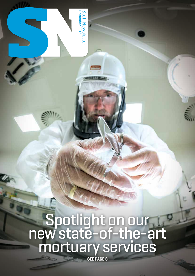Spotlight on our<br>new state-of-the-art mortuary services

Staff Newslette<br>**December 2013** Staff Newsletter

Staff Newsletter

**December 2013**

**SEE PAGE 3**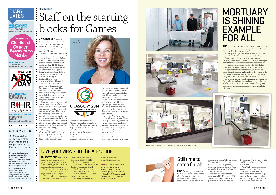## Give your views on the Alert Line

NHSSCOTLAND staff should be able to raise concerns about patient safety or malpractice with their line manager, HR Department or trade union representative. Confidential Alert Line on

However, if there is doubt about whether or how to raise a concern, or you worry about doing so, confidential advice and support is available via the NHSScotland

Freephone 0800 008 6112. The service has now been in

Cabinet Secretary for Health and Wellbeing is keen to find out the value of this service to NHSScotland staff. The Scottish Government is therefore undertaking a confidential survey

operation since April 2013 and the **>>** Please take the time to fill in the confidential survey by 14 December 2013, at: www. scotland.gov.uk/alertlinesurvey **>>** Read NHSGGC's Code of Conduct for staff at: StaffNet > Human Resources > Policies







to gather staff's view of the Alert Line service.

A TEMPORARY "polyclinic", the equivalent of a modern health centre, will be the first stop for treatment for any athletes injured during next year's Commonwealth Games in Glasgow.

Based in the athletes' village in the east end of the city, the polyclinic will be staffed by volunteers, including nurses, doctors, physiotherapists, primary care and other specialist staff, many from NHSGGC and throughout the UK. It will also be where members of the "games family", made up of team doctors, coaches, technical support and officials, receive any medical treatment they require. A total of 4,500 athletes will

# Staff on the starting **EHILDHOOD CANCER**<br>1-31 DECEMBER **CANCER DO**OD CAS for Games **CA**

be attending the 2014 event, competing in 17 sports, with five para-sports integrated into the Games. In the event of a competitor suffering an injury that the polyclinic is not able to treat, Glasgow Royal Infirmary is the designated hospital.

Irene MacKenzie, our games and civil contingencies co-ordinator, said: "The focus of the polyclinic is to treat athletes and get them back to the point of being able to carry on competing. Volunteers are currently being recruited and we are encouraging managers to be flexible in authorising annual leave for staff where they can, taking into account the extra demands on services while the Games are taking place."

> MORE than 12,000 staff have so far been vaccinated against flu and, while the four-week vaccination programme has finished, appointments are available at the

Planning has been a real team effort, with NHSGGC working in partnership with the Scottish Government, Police Scotland, Glasgow City Council, Health

Protection Scotland and the Games' organisation committee. Dr Linda de Caestecker, director of public health, added: "Our clinical staff aren't the only ones contributing to the success of the Games.

"Administrative, estates and pharmacy colleagues are also

involved, while procurement staff have played an important role by giving advice and support to the organising committee about the purchase and hire of medical equipment. Health improvement staff have worked with the organising committee to make the Games smokefree and are also ensuring that healthy food choices are available at venues and local eateries." Irene said: "The Games are a

wonderful opportunity for Glasgow, but they will have a big impact on our hospitals, clinics and health services. Preparation is the key to ensuring our services cope while the city hosts this massive sporting event."

**>>** For more information on the Games, visit www.glasgow2014.com

SPORTS CLINIC

### **DIARY DATES**

**AWARENESS MONTH 1 – 31 DECEMBER WWW.MACMILLAN.ORG.UK**

#### December is Childhood Cancer **Awareness** Month

**WORLD AIDS DAY 1 DECEMBER WWW.WORLDAIDSDAY.ORG**



**HUMAN RIGHTS DAY 10 DECEMBER WWW.BIHR.ORG.UK**



**NHSGGC BOARD MEETING 17 DECEMBER, 9.30AM** Boardroom, JB Russell House

#### STAFF NEWSLETTER

*Staff Newsletter* is written by staff for staff with the full support of the Area Partnership Forum

Please send articles, letters and photographs to: NHSGGC Communications, Staff Newsletter, JB Russell House, Gartnavel Royal Hospital Campus, 1055 Great Western Road, Glasgow G12 0XH

Email: staffnewsletter @ggc.scot.nhs.uk Telephone: 0141 201 4558 *Staff Newsletter* is designed by Connect Publications www. connectcommunications.co.uk





### Still time to catch flu jab

occupational health (OH) hub in the Victoria Infirmary and the OH satellite clinics at Glasgow Royal Infirmary, Gartnavel General, Royal Alexandra, Inverclyde Royal and the Vale of Leven Hospitals.

Make an appointment with Occupational Health on 0141 201 5600. Anyone who wishes to run a peer immunisation programme

should contact Public Health, visit: StaffNet > Applications > Flu Vaccination

Rona Wall, occupational health service manager, said: "I would encourage staff who have direct clinical contact with patients to get vaccinated to protect themselves, the vulnerable people in their care and, of course, their families."

# MORTUARY IS SHINING EXAMPLE FOR ALL

THE state-of-the-art mortuary at the Southern General Hospital is a world rarely seen, not only by members of the public, but the majority of staff.

*SN* was granted special access to the facility, which is part of the £90 million new laboratory at the hospital.

Opened earlier this year, and bringing together mortuary and forensic services, staff are now working in one of the most modern facilities of its kind in the UK. It provides a seamless service for NHSGGC, Police

Scotland and Crown Office Procurator Fiscal Service. Integrated mortuary service manager Willie Scott's

leadership in the design and transfer of the service to the multi-million pound laboratory landed him the overall Diagnostics' Facing the Future Together award.

Complementing the hi-tech equipment are sensitively designed areas for bereaved families coming to the unit, with its decor of pastel colours and adjustable lighting, offering grieving relatives a soothing environment at a difficult time.



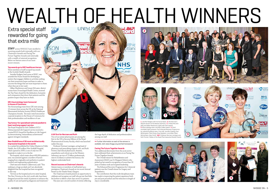**STAFF** across NHSGGC have excelled in receiving awards both internally with our Chairman's Awards and Facing The Future Together Awards and externally with a wealth of external recognition. Below we feature some of our most recent winners.

**Top awards go to GGC healthcare heroes** 

Three members of staff scooped top awards at the Scottish Health Awards.

Jennifer Rodgers, lead nurse at RHSC, was awarded the Nurse Award for developing a system that engages children in activities seeking out their innermost hopes and fears in order to uncover the things that are most important to them when they are in her ward.

Gillian Mackinnon and Linsey McLaren, district nurses from Drumchapel Health Centre, received the Top Team Award for the dedication, humanity and compassion they show their patients and the positive impact they have on them.

The Royal Hospital for Sick Children's ECLS (Extracorporeal Life Support) service received a coveted ELSO Award for Excellence in Life Support by demonstrating "extraordinary achievement" against stringent standards.

#### **GRI rheumatology team honoured in House of Commons**

The rheumatology team from GRI were among 10 winners from across the UK at the National Rheumatoid Arthritis Society (NRAS) Healthcare Champions Awards. The team were honoured at a special reception in the House of Commons for their professionalism and excellence of care.

#### **Top honour for specialised national paediatric heart and lung support service**

Sixteen teams or members of staff picked up a prestigious Chairman's Awards at our recent Annual .<br>Review in the Thistle Hotel, Glasgow.

#### **New Stobhill one of 30 most architecturally impressive hospitals in the world**

In a ranked list published by Online Masters in Public Health, the £100 million New Stobhill Hospital, which opened in 2009, is one of only two UK hospitals to make it on to the list.

The hospital, which treats about 400,000 patients a year, was assessed against a number of factors ranging from originality and aesthetics to patient comfort and engineering sophistication.

> The Enhanced Recovery Programme for Colorectal patients was the Overall winner for Surgery and .<br>Anaesthetics

Chief executive Robert Calderwood, said: "This ranking is a huge accolade and I am absolutely delighted that the hospital has been recognised in this way.

"Services at the hospital and at its sister hospital, The New Victoria on the city's south side, have been designed around the needs of patients to enhance the quality of care and speed up diagnosis and treatment."

#### **A UK first for Norman and Ruth**

Two of our senior pharmacists are among the first in the UK to become Fellows of the Royal Pharmaceutical Society Faculty, which was launched earlier this year.

Professor Norman Lannigan, acting head of pharmacy and prescribing support unit, and Ruth Forrest, lead clinical pharmacist, theatres, anaesthetics and critical care at the Western Infirmary, are two of 75 fellow professionals, nine in Scotland, to achieve the honour, the highest credentialed level.

#### **Record success at Chairman's Awards**

The Chairman's Awards present an opportunity to celebrate and recognise our staff who go just that little bit further to deliver a first class service to patients. This year saw a record number of entries reflecting

the huge depth of dedication and professionalism among our staff.

**>>** Further information on each of the winners is available, visit: www.nhsggc.org.uk/chairmansaward

#### **Facing The Future Together Awards**

Two additional directorates from the acute sector have celebrated their achievements at our Facing The Future Together Awards.

The Overall winner for Rehabilitation and Assessment (RAD) was Dr Margaret Roberts who picked up her award in recognition of more than 30 years of tireless work and inspired leadership.

The contribution that this multi-disciplinary team has made to improving the patient experience both pre and post-procedure and the reduction in length of stay is considerable.









# WEALTH OF HEALTH WINNERS

### Extra special staff rewarded for going that extra mile

**1.** Jennifer Rodgers with her Nurse Award. **2.**All Chairman's Awards winners at the Awards ceremony. **3.** Lindsey McLaren (left) and Gillian Mackinnon (right) with their awards. **4.** Rheumatology team members collect award. **5.** Grant Archibald (right) presents The Enhanced Recovery Programme for colorectal patients team. From left: Jennifer Snelling, Paul Witherspoon, Pete Chong, Drew Davidson, Lorna Reid, Claire McCutcheon, Mary Smith. **6&7.** Professor Norman Lannigan and Ruth Forrest, Fellows of the Royal Pharmaceutical Society Faculty





4 ~ NHSGGC SN NHSGGC SN ~ 5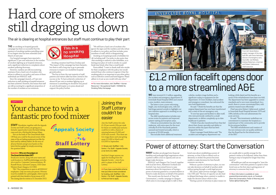# Power of attorney: Start the Conversation

WE have invested £1.2 million upgrading the accident and emergency department of Inverclyde Royal Hospital (IRH) and created a new, modern, main entrance.

The latter is now a more welcoming, bright, airy enclosed glass area, with red hatchings painted outside to highlight our zero tolerance approach to smoking on our hospital sites.

The A&E transformation includes new access routes for patients and improved patient waiting and reception areas.

Clinical accommodation has also had a makeover, with extra space for the most critically ill of the thousands patients assessed and treated annually, which is in excess of 35,000 people.

This includes three additional treatment

cubicles, modern triage facilities and a significant outlay in equipment for the department. Dr Dave Stoddart, lead accident and emergency consultant, has welcomed the new-look department.

He said: "I think the benefits are that the original department has now been transformed into a state-of-the-art emergency unit.

"It now has space and facilities to allow staff,

who were previously confined in a small department, to deliver completely up-to-date healthcare to patients.

"I think it has also transformed how they feel about their chosen speciality and ability to function within the space that has been

designed for them."

Project manager Derek Bolton said: "The

accident and emergency department was

looking a little dated and the benefits as a result of the refurbishment have been ten-fold. The department has been upgraded to current standards and is now more streamlined. As a result, there is a more concentrated flow, with patients treated more effectively."

Chief executive Robert Calderwood, worked in Inverclyde Royal Hospital between 1976 and 1984, latterly as the unit administrator for acute services.

He said: "This investment underlines our commitment to maintain the hospital as a material part of the community and to provide fit-for-purpose facilities.

"The A&E refurbishment and creation of the new entrance sets out quality ambitions that the Board has for the infrastructure of the IRH."

**STAFF** Newsletter, together with the Appeals Society and Staff Lottery, are giving you a fantastic opportunity to join the latest baking craze and win a KitchenAid Artisan Mixer.

> MANY families are plunged into financial hardship and prolonged legal negotiations when a patient suffers a loss in capacity and can no longer make decisions.

Email your answer, along with your name and work location to: StaffNewsletter@ggc.scot.nhs. uk or send to: Corporate Communications, JB Russell House, Gartnavel Campus, 1055 Great Western Road, Glasgow, G12 0XH.

T&C: The competition is open to all NHSGGC employees. Only one entry per person. Winners must be available for a photograph, which may be printed with their details in future issues of *SN*. The closing date for entries is 31 December 2013.





NHSGGC and Glasgow City Council, together with local law firms, Alzheimer Scotland and Scottish Care, have joined forces to raise awareness about the importance of having a power of attorney granted to a trusted relative or friend to make decisions on behalf of the patient.

# **COMPETITION** Your chance to win a fantastic pro food mixer

This month sees the launch of 'Start the Conversation', a media campaign in Glasgow which aims to encourage people to talk to their

loved ones about establishing a power of attorney, so that if (due to illness such as dementia or stroke) the person becomes unable to make decisions for him/herself, someone can step in.

THE no smoking on hospital grounds campaign has been so successful that the presence of smoking wardens patrolling some of our largest sites has been extended until March of next year.

> Without a power of attorney in place, no-one can take decisions on behalf of another adult without going through a costly legal process. Jill Carson, adult services manager, Glasgow City CHP, said: "The loss of capacity can also lead to delayed discharge when a patient is unable to make the decision about where to live.

"Having a power of attorney in place means we

are usually able to quickly arrange for the patient's wishes to be followed, rather than them having to stay in hospital for longer than they need to."

All healthcare staff are encouraged to "start the conversation" with their patients to speak to their loved ones as the first step to giving power of attorney to someone they trust.

**>>** More information is available at: www. poastarttheconversation.org.uk, on Facebook (Start the Conversation: Power of Attorney) and Twitter @StartTalking.POA



Hot on the heels of The Great British Bake Off final, you could be the proud owner of this state-of-the-art baking equipment just like the kind used by celebrity bakers. Be the envy of all your friends and get your hands on this latest kitchen gadget by simply answering the question below.

#### **Question: Who are the judges on The Great British Bake Off?**

### Joining the Staff Lottery couldn't be easier

Join the Staff Lottery for only £1.50 per month (35p per week for those on weekly pay) and you could be in with a chance of winning between £5,000 and £100 each month. Plus there are two mega draws each year giving away £15,000 in March and £10,000 in September.

**>>** Simply visit: StaffNet > Info Centre > For Staff > Appeals Society or tel: 0141 211 5885

And don't forget anyone can apply for funding from the Appeals Society – even if you aren't a player of the Staff Lottery.

**>>** If you have a worthwhile scheme that you'd like to have considered for funding, visit: StaffNet > Info Centre > For Staff > Appeals Society to find out how to apply.

# Hard core of smokers still dragging us down

Our hospital managers have reported a significant 57 per cent reduction in the number of smokers lighting up at hospital entrances, and a significant reduction in complaints about smokers polluting doorways.

However, wardens are still encountering resistance from a hard core of smokers who refuse to adhere to our policy, and some of these individuals are NHSGGC staff.

Since the campaign's launch, a 47 per cent reduction in staff smoking at hospital entrances has been achieved. However, this means that staff are still accounting for a significant proportion of the number of smokers at our entrances.



Smoking cessation lead Fiona Dunlop said: "The impact of this campaign has been fantastic, but there is still a long way to go to persuade everyone to respect our smokefree hospital grounds policy.

"The buy-in from the vast majority of staff, patients and visitors alike has been central to the success so far. To have achieved a reduction of almost 60 per cent in smokers lighting up at entrances is something we should be very proud of, and should inspire us to press ahead and support the policy further.

"We still have a hard core of smokers who ignore the signs and the wardens and who refuse to adhere to our policy, and that includes some members of staff, which is disappointing." Smoking on hospital grounds is forbidden for

all, including staff. Our policy is also quite clear that smoking in uniform is also forbidden, as is leaving your place of work to smoke on a paid break (any break other than a meal break).

Fiona added: "I want to thank staff who smoke for their compliance with the policy, but would remind those who continue to ignore it that the smoking policy is as important as any other policy, such as infection control and hand hygiene. Please adhere to it just as you would with any other."

**>>** For more information, visit: StaffNet > Human Resources > Occupational Health > NHSGGC No Smoking Policy Homepage

The air is clearing at hospital entrances but staff must continue to play their part

# £1.2 million facelift opens door to a more streamlined A&E